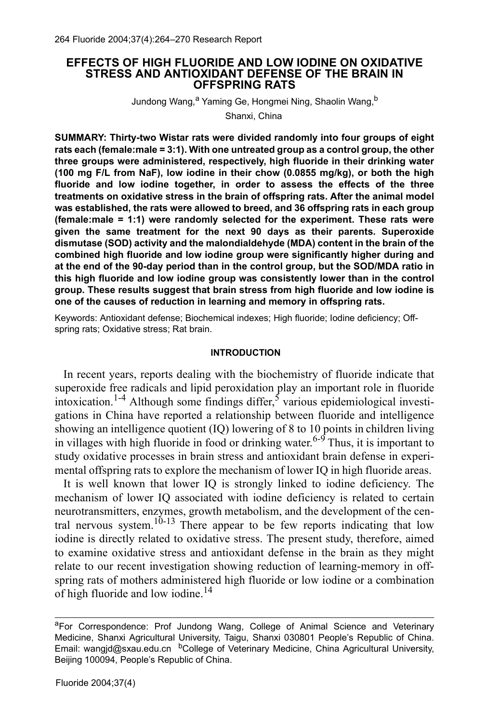### **EFFECTS OF HIGH FLUORIDE AND LOW IODINE ON OXIDATIVE STRESS AND ANTIOXIDANT DEFENSE OF THE BRAIN IN OFFSPRING RATS**

Jundong Wang, <sup>a</sup> Yaming Ge, Hongmei Ning, Shaolin Wang, b

Shanxi, China

**SUMMARY: Thirty-two Wistar rats were divided randomly into four groups of eight rats each (female:male = 3:1). With one untreated group as a control group, the other three groups were administered, respectively, high fluoride in their drinking water (100 mg F/L from NaF), low iodine in their chow (0.0855 mg/kg), or both the high fluoride and low iodine together, in order to assess the effects of the three treatments on oxidative stress in the brain of offspring rats. After the animal model was established, the rats were allowed to breed, and 36 offspring rats in each group (female:male = 1:1) were randomly selected for the experiment. These rats were given the same treatment for the next 90 days as their parents. Superoxide dismutase (SOD) activity and the malondialdehyde (MDA) content in the brain of the combined high fluoride and low iodine group were significantly higher during and at the end of the 90-day period than in the control group, but the SOD/MDA ratio in this high fluoride and low iodine group was consistently lower than in the control group. These results suggest that brain stress from high fluoride and low iodine is one of the causes of reduction in learning and memory in offspring rats.**

Keywords: Antioxidant defense; Biochemical indexes; High fluoride; Iodine deficiency; Offspring rats; Oxidative stress; Rat brain.

### **INTRODUCTION**

In recent years, reports dealing with the biochemistry of fluoride indicate that superoxide free radicals and lipid peroxidation play an important role in fluoride intoxication.<sup>1-4</sup> Although some findings differ,<sup>5</sup> various epidemiological investigations in China have reported a relationship between fluoride and intelligence showing an intelligence quotient (IQ) lowering of 8 to 10 points in children living in villages with high fluoride in food or drinking water.<sup>6-9</sup> Thus, it is important to study oxidative processes in brain stress and antioxidant brain defense in experimental offspring rats to explore the mechanism of lower IQ in high fluoride areas.

It is well known that lower IQ is strongly linked to iodine deficiency. The mechanism of lower IQ associated with iodine deficiency is related to certain neurotransmitters, enzymes, growth metabolism, and the development of the central nervous system.<sup>10-13</sup> There appear to be few reports indicating that low iodine is directly related to oxidative stress. The present study, therefore, aimed to examine oxidative stress and antioxidant defense in the brain as they might relate to our recent investigation showing reduction of learning-memory in offspring rats of mothers administered high fluoride or low iodine or a combination of high fluoride and low iodine.<sup>14</sup>

aFor Correspondence: Prof Jundong Wang, College of Animal Science and Veterinary Medicine, Shanxi Agricultural University, Taigu, Shanxi 030801 People's Republic of China. Email: wangjd@sxau.edu.cn bCollege of Veterinary Medicine, China Agricultural University, Beijing 100094, People's Republic of China.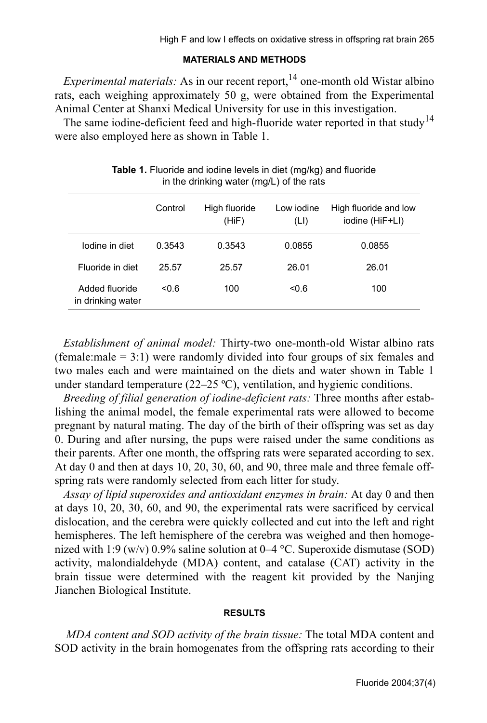## **MATERIALS AND METHODS**

*Experimental materials:* As in our recent report,  $14$  one-month old Wistar albino rats, each weighing approximately 50 g, were obtained from the Experimental Animal Center at Shanxi Medical University for use in this investigation.

The same iodine-deficient feed and high-fluoride water reported in that study<sup>14</sup> were also employed here as shown in Table 1.

|                                     | Control | High fluoride<br>(HiF) | Low iodine<br>(LI) | High fluoride and low<br>iodine (HiF+LI) |
|-------------------------------------|---------|------------------------|--------------------|------------------------------------------|
| lodine in diet                      | 0.3543  | 0.3543                 | 0.0855             | 0.0855                                   |
| Fluoride in diet                    | 25.57   | 25.57                  | 26.01              | 26.01                                    |
| Added fluoride<br>in drinking water | 0.6     | 100                    | < 0.6              | 100                                      |
|                                     |         |                        |                    |                                          |

**Table 1.** Fluoride and iodine levels in diet (mg/kg) and fluoride in the drinking water (mg/L) of the rats

*Establishment of animal model:* Thirty-two one-month-old Wistar albino rats (female:male  $= 3:1$ ) were randomly divided into four groups of six females and two males each and were maintained on the diets and water shown in Table 1 under standard temperature (22–25 ºC), ventilation, and hygienic conditions.

*Breeding of filial generation of iodine-deficient rats:* Three months after establishing the animal model, the female experimental rats were allowed to become pregnant by natural mating. The day of the birth of their offspring was set as day 0. During and after nursing, the pups were raised under the same conditions as their parents. After one month, the offspring rats were separated according to sex. At day 0 and then at days 10, 20, 30, 60, and 90, three male and three female offspring rats were randomly selected from each litter for study.

*Assay of lipid superoxides and antioxidant enzymes in brain:* At day 0 and then at days 10, 20, 30, 60, and 90, the experimental rats were sacrificed by cervical dislocation, and the cerebra were quickly collected and cut into the left and right hemispheres. The left hemisphere of the cerebra was weighed and then homogenized with 1:9 (w/v) 0.9% saline solution at 0–4 °C. Superoxide dismutase (SOD) activity, malondialdehyde (MDA) content, and catalase (CAT) activity in the brain tissue were determined with the reagent kit provided by the Nanjing Jianchen Biological Institute.

## **RESULTS**

 *MDA content and SOD activity of the brain tissue:* The total MDA content and SOD activity in the brain homogenates from the offspring rats according to their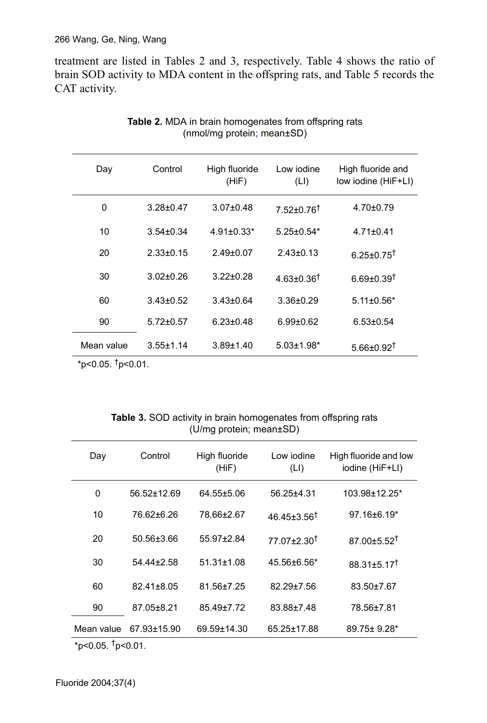treatment are listed in Tables 2 and 3, respectively. Table 4 shows the ratio of brain SOD activity to MDA content in the offspring rats, and Table 5 records the CAT activity.

| Day          | Control         | High fluoride<br>(HiF) | Low jodine<br>(LI)           | High fluoride and<br>low iodine (HiF+LI) |
|--------------|-----------------|------------------------|------------------------------|------------------------------------------|
| $\mathbf{0}$ | $3.28 + 0.47$   | $3.07 \pm 0.48$        | $7.52+0.76$ <sup>†</sup>     | $4.70 \pm 0.79$                          |
| 10           | $3.54 \pm 0.34$ | $4.91 \pm 0.33*$       | $5.25 \pm 0.54*$             | $4.71 \pm 0.41$                          |
| 20           | $2.33 \pm 0.15$ | $2.49 \pm 0.07$        | $2.43 \pm 0.13$              | $6.25 \pm 0.75$ <sup>†</sup>             |
| 30           | $3.02 + 0.26$   | $3.22 + 0.28$          | 4 63+0 36 <sup>†</sup>       | $6.69 + 0.39$ <sup>t</sup>               |
| 60           | $3.43 \pm 0.52$ | $3.43 \pm 0.64$        | $3.36 \pm 0.29$              | $5.11 \pm 0.56*$                         |
| 90           | $5.72 \pm 0.57$ | $6.23 \pm 0.48$        | $6.99 \pm 0.62$              | $6.53 \pm 0.54$                          |
| Mean value   | $3.55 \pm 1.14$ | $3.89 + 1.40$          | $5.03 \pm 1.98$ <sup>*</sup> | $5.66 \pm 0.92$ <sup>†</sup>             |

| <b>Table 2.</b> MDA in brain homogenates from offspring rats |  |
|--------------------------------------------------------------|--|
| (nmol/mg protein; mean±SD)                                   |  |

 $*p<0.05.$  <sup>†</sup>p<0.01.

| Table 3. SOD activity in brain homogenates from offspring rats |
|----------------------------------------------------------------|
| $(U/mg)$ protein; mean $\pm SD$ )                              |

| Day        | Control     | High fluoride<br>(HiF) | Low jodine<br>(LI)         | High fluoride and low<br>iodine (HiF+LI) |
|------------|-------------|------------------------|----------------------------|------------------------------------------|
| 0          | 56.52±12.69 | $64.55 \pm 5.06$       | 56.25+4.31                 | 103.98±12.25*                            |
| 10         | 76.62±6.26  | 78.66±2.67             | $46.45 + 3.56^{\dagger}$   | $97.16 \pm 6.19^*$                       |
| 20         | 50.56±3.66  | 55.97+2.84             | $77.07 \pm 2.30^{\dagger}$ | $87.00 + 5.52$ <sup>†</sup>              |
| 30         | 54.44±2.58  | $51.31 \pm 1.08$       | 45.56±6.56*                | $88.31 \pm 5.17$ <sup>†</sup>            |
| 60         | 82.41+8.05  | 81.56+7.25             | 82.29±7.56                 | 83.50±7.67                               |
| 90         | 87.05±8.21  | 85.49+7.72             | 83.88±7.48                 | 78.56±7.81                               |
| Mean value | 67.93±15.90 | 69.59±14.30            | 65.25±17.88                | $89.75 \pm 9.28$ <sup>*</sup>            |

 $*p<0.05.$  <sup>†</sup>p<0.01.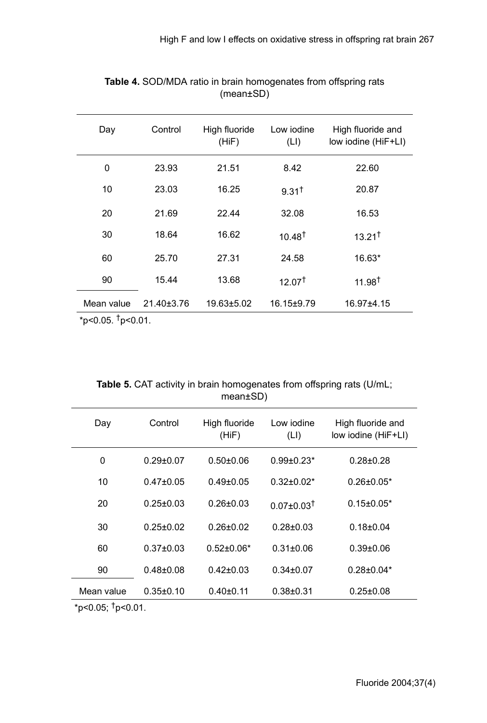| Day                        | Control    | High fluoride<br>(HiF) | Low iodine<br>(LI) | High fluoride and<br>low iodine (HiF+LI) |
|----------------------------|------------|------------------------|--------------------|------------------------------------------|
| 0                          | 23.93      | 21.51                  | 8.42               | 22.60                                    |
| 10                         | 23.03      | 16.25                  | 9.31 <sup>†</sup>  | 20.87                                    |
| 20                         | 21.69      | 22.44                  | 32.08              | 16.53                                    |
| 30                         | 18.64      | 16.62                  | $10.48^{\dagger}$  | $13.21^{\dagger}$                        |
| 60                         | 25.70      | 27.31                  | 24.58              | 16.63*                                   |
| 90                         | 15.44      | 13.68                  | $12.07^+$          | $11.98^{\dagger}$                        |
| Mean value<br>$\mathbf{I}$ | 21.40±3.76 | 19.63±5.02             | $16.15 \pm 9.79$   | 16.97±4.15                               |

## **Table 4.** SOD/MDA ratio in brain homogenates from offspring rats (mean±SD)

 $*p<0.05$ .  $\dagger p<0.01$ .

# **Table 5.** CAT activity in brain homogenates from offspring rats (U/mL; mean±SD)

| Day        | Control         | High fluoride<br>(HiF) | Low iodine<br>(LI)           | High fluoride and<br>low iodine (HiF+LI) |
|------------|-----------------|------------------------|------------------------------|------------------------------------------|
| 0          | $0.29 \pm 0.07$ | $0.50 + 0.06$          | $0.99 \pm 0.23*$             | $0.28 + 0.28$                            |
| 10         | $0.47 \pm 0.05$ | $0.49 \pm 0.05$        | $0.32 \pm 0.02^*$            | $0.26 \pm 0.05^*$                        |
| 20         | $0.25 \pm 0.03$ | $0.26 + 0.03$          | $0.07 \pm 0.03$ <sup>†</sup> | $0.15 \pm 0.05*$                         |
| 30         | $0.25 + 0.02$   | $0.26 + 0.02$          | $0.28 + 0.03$                | $0.18 + 0.04$                            |
| 60         | $0.37 + 0.03$   | $0.52 + 0.06*$         | $0.31 + 0.06$                | $0.39{\pm}0.06$                          |
| 90         | $0.48 + 0.08$   | $0.42 \pm 0.03$        | $0.34 \pm 0.07$              | $0.28 \pm 0.04*$                         |
| Mean value | $0.35 \pm 0.10$ | $0.40 + 0.11$          | $0.38 + 0.31$                | $0.25 \pm 0.08$                          |

 $*p<0.05$ ;  $\dagger p<0.01$ .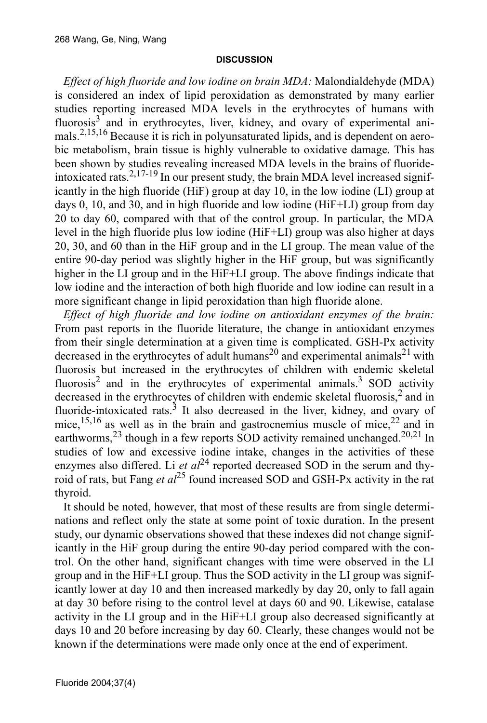### **DISCUSSION**

*Effect of high fluoride and low iodine on brain MDA:* Malondialdehyde (MDA) is considered an index of lipid peroxidation as demonstrated by many earlier studies reporting increased MDA levels in the erythrocytes of humans with fluorosis<sup>3</sup> and in erythrocytes, liver, kidney, and ovary of experimental animals.2,15,16 Because it is rich in polyunsaturated lipids, and is dependent on aerobic metabolism, brain tissue is highly vulnerable to oxidative damage. This has been shown by studies revealing increased MDA levels in the brains of fluorideintoxicated rats.<sup>2,17-19</sup> In our present study, the brain MDA level increased significantly in the high fluoride (HiF) group at day 10, in the low iodine (LI) group at days 0, 10, and 30, and in high fluoride and low iodine (HiF+LI) group from day 20 to day 60, compared with that of the control group. In particular, the MDA level in the high fluoride plus low iodine (HiF+LI) group was also higher at days 20, 30, and 60 than in the HiF group and in the LI group. The mean value of the entire 90-day period was slightly higher in the HiF group, but was significantly higher in the LI group and in the HiF+LI group. The above findings indicate that low iodine and the interaction of both high fluoride and low iodine can result in a more significant change in lipid peroxidation than high fluoride alone.

*Effect of high fluoride and low iodine on antioxidant enzymes of the brain:* From past reports in the fluoride literature, the change in antioxidant enzymes from their single determination at a given time is complicated. GSH-Px activity decreased in the erythrocytes of adult humans<sup>20</sup> and experimental animals<sup>21</sup> with fluorosis but increased in the erythrocytes of children with endemic skeletal fluorosis<sup>2</sup> and in the erythrocytes of experimental animals.<sup>3</sup> SOD activity decreased in the erythrocytes of children with endemic skeletal fluorosis,<sup>2</sup> and in fluoride-intoxicated rats. $3$  It also decreased in the liver, kidney, and ovary of mice,<sup>15,16</sup> as well as in the brain and gastrocnemius muscle of mice,<sup>22</sup> and in earthworms,  $^{23}$  though in a few reports SOD activity remained unchanged.<sup>20,21</sup> In studies of low and excessive iodine intake, changes in the activities of these enzymes also differed. Li  $et al^{24}$  reported decreased SOD in the serum and thyroid of rats, but Fang *et al*25 found increased SOD and GSH-Px activity in the rat thyroid.

It should be noted, however, that most of these results are from single determinations and reflect only the state at some point of toxic duration. In the present study, our dynamic observations showed that these indexes did not change significantly in the HiF group during the entire 90-day period compared with the control. On the other hand, significant changes with time were observed in the LI group and in the HiF+LI group. Thus the SOD activity in the LI group was significantly lower at day 10 and then increased markedly by day 20, only to fall again at day 30 before rising to the control level at days 60 and 90. Likewise, catalase activity in the LI group and in the HiF+LI group also decreased significantly at days 10 and 20 before increasing by day 60. Clearly, these changes would not be known if the determinations were made only once at the end of experiment.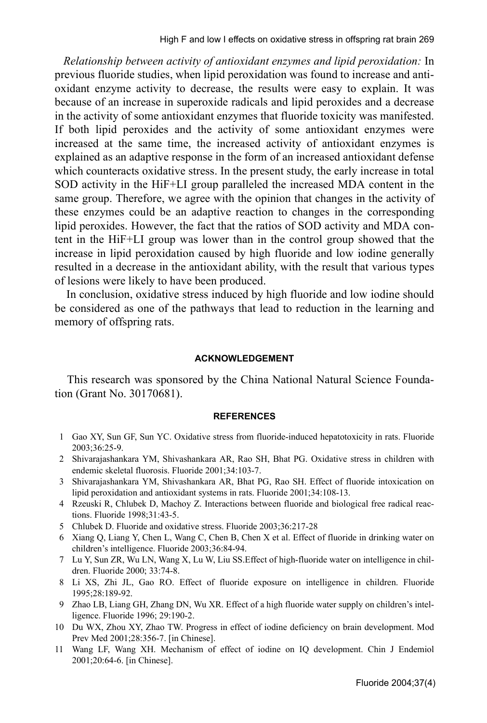*Relationship between activity of antioxidant enzymes and lipid peroxidation:* In previous fluoride studies, when lipid peroxidation was found to increase and antioxidant enzyme activity to decrease, the results were easy to explain. It was because of an increase in superoxide radicals and lipid peroxides and a decrease in the activity of some antioxidant enzymes that fluoride toxicity was manifested. If both lipid peroxides and the activity of some antioxidant enzymes were increased at the same time, the increased activity of antioxidant enzymes is explained as an adaptive response in the form of an increased antioxidant defense which counteracts oxidative stress. In the present study, the early increase in total SOD activity in the HiF+LI group paralleled the increased MDA content in the same group. Therefore, we agree with the opinion that changes in the activity of these enzymes could be an adaptive reaction to changes in the corresponding lipid peroxides. However, the fact that the ratios of SOD activity and MDA content in the HiF+LI group was lower than in the control group showed that the increase in lipid peroxidation caused by high fluoride and low iodine generally resulted in a decrease in the antioxidant ability, with the result that various types of lesions were likely to have been produced.

 In conclusion, oxidative stress induced by high fluoride and low iodine should be considered as one of the pathways that lead to reduction in the learning and memory of offspring rats.

#### **ACKNOWLEDGEMENT**

 This research was sponsored by the China National Natural Science Foundation (Grant No. 30170681).

#### **REFERENCES**

- 1 Gao XY, Sun GF, Sun YC. Oxidative stress from fluoride-induced hepatotoxicity in rats. Fluoride 2003;36:25-9.
- 2 Shivarajashankara YM, Shivashankara AR, Rao SH, Bhat PG. Oxidative stress in children with endemic skeletal fluorosis. Fluoride 2001;34:103-7.
- 3 Shivarajashankara YM, Shivashankara AR, Bhat PG, Rao SH. Effect of fluoride intoxication on lipid peroxidation and antioxidant systems in rats. Fluoride 2001;34:108-13.
- 4 Rzeuski R, Chlubek D, Machoy Z. Interactions between fluoride and biological free radical reactions. Fluoride 1998;31:43-5.
- 5 Chlubek D. Fluoride and oxidative stress. Fluoride 2003;36:217-28
- 6 Xiang Q, Liang Y, Chen L, Wang C, Chen B, Chen X et al. Effect of fluoride in drinking water on children's intelligence. Fluoride 2003;36:84-94.
- 7 Lu Y, Sun ZR, Wu LN, Wang X, Lu W, Liu SS.Effect of high-fluoride water on intelligence in children. Fluoride 2000; 33:74-8.
- 8 Li XS, Zhi JL, Gao RO. Effect of fluoride exposure on intelligence in children. Fluoride 1995;28:189-92.
- 9 Zhao LB, Liang GH, Zhang DN, Wu XR. Effect of a high fluoride water supply on children's intelligence. Fluoride 1996; 29:190-2.
- 10 Du WX, Zhou XY, Zhao TW. Progress in effect of iodine deficiency on brain development. Mod Prev Med 2001;28:356-7. [in Chinese].
- 11 Wang LF, Wang XH. Mechanism of effect of iodine on IQ development. Chin J Endemiol 2001;20:64-6. [in Chinese].